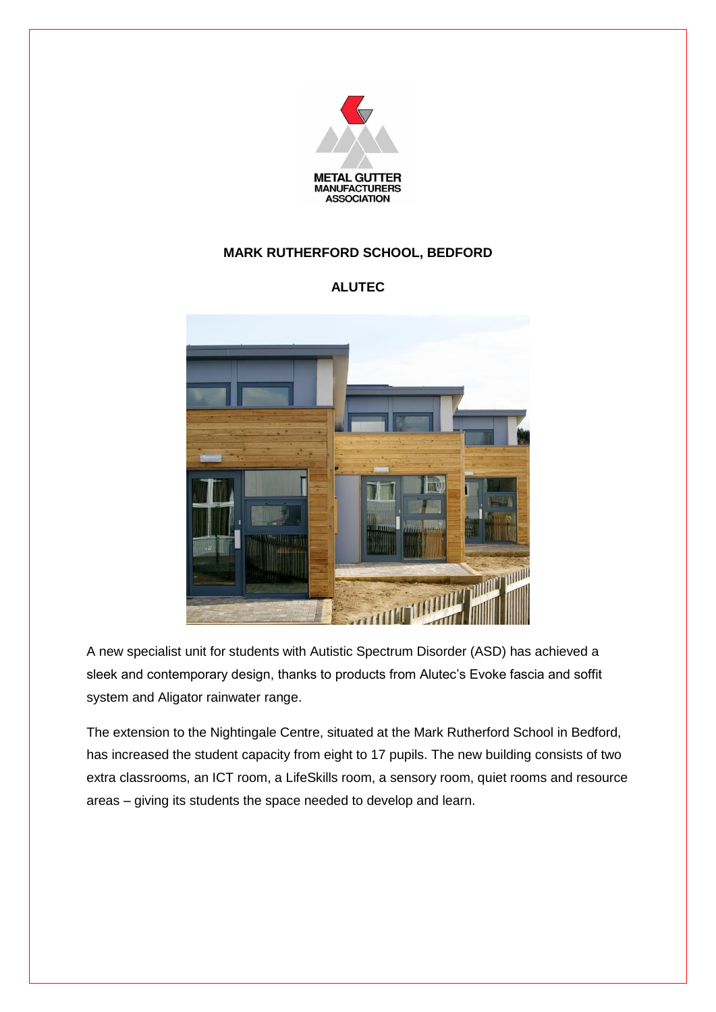

## **MARK RUTHERFORD SCHOOL, BEDFORD**

## **ALUTEC**



A new specialist unit for students with Autistic Spectrum Disorder (ASD) has achieved a sleek and contemporary design, thanks to products from Alutec's Evoke fascia and soffit system and Aligator rainwater range.

The extension to the Nightingale Centre, situated at the Mark Rutherford School in Bedford, has increased the student capacity from eight to 17 pupils. The new building consists of two extra classrooms, an ICT room, a LifeSkills room, a sensory room, quiet rooms and resource areas – giving its students the space needed to develop and learn.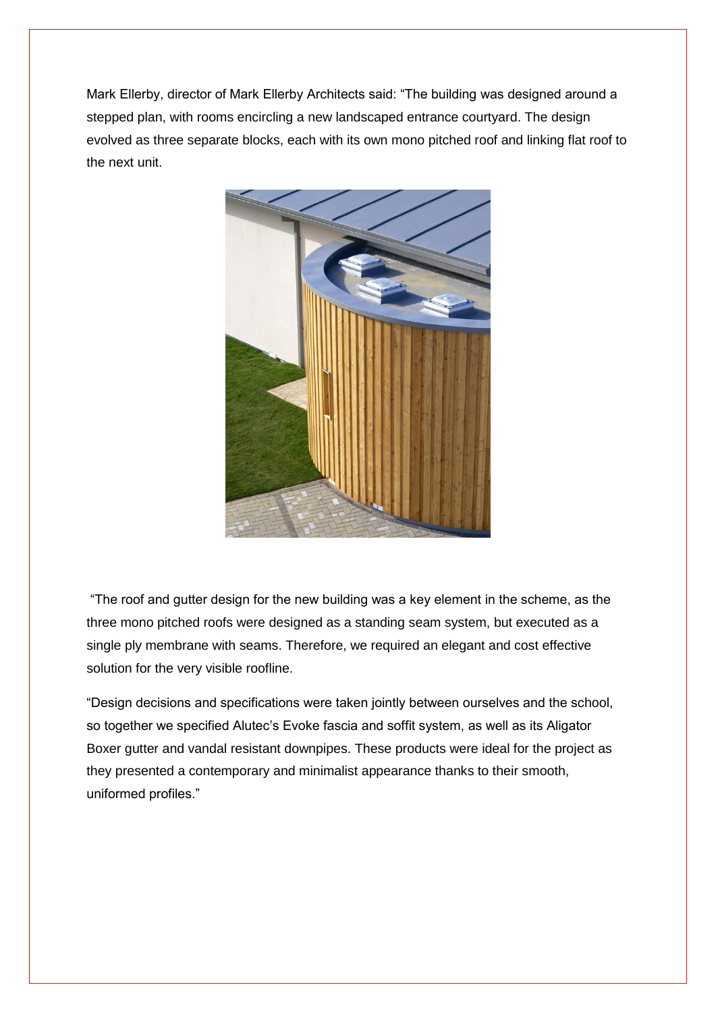Mark Ellerby, director of Mark Ellerby Architects said: "The building was designed around a stepped plan, with rooms encircling a new landscaped entrance courtyard. The design evolved as three separate blocks, each with its own mono pitched roof and linking flat roof to the next unit.



"The roof and gutter design for the new building was a key element in the scheme, as the three mono pitched roofs were designed as a standing seam system, but executed as a single ply membrane with seams. Therefore, we required an elegant and cost effective solution for the very visible roofline.

"Design decisions and specifications were taken jointly between ourselves and the school, so together we specified Alutec's Evoke fascia and soffit system, as well as its Aligator Boxer gutter and vandal resistant downpipes. These products were ideal for the project as they presented a contemporary and minimalist appearance thanks to their smooth, uniformed profiles."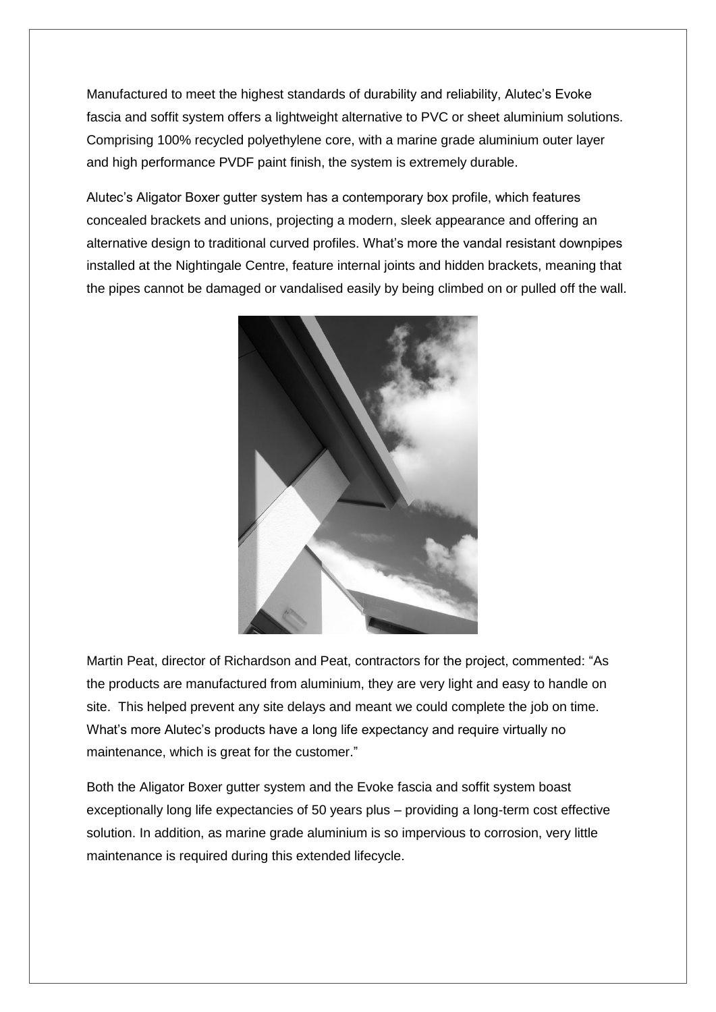Manufactured to meet the highest standards of durability and reliability, Alutec's Evoke fascia and soffit system offers a lightweight alternative to PVC or sheet aluminium solutions. Comprising 100% recycled polyethylene core, with a marine grade aluminium outer layer and high performance PVDF paint finish, the system is extremely durable.

Alutec's Aligator Boxer gutter system has a contemporary box profile, which features concealed brackets and unions, projecting a modern, sleek appearance and offering an alternative design to traditional curved profiles. What's more the vandal resistant downpipes installed at the Nightingale Centre, feature internal joints and hidden brackets, meaning that the pipes cannot be damaged or vandalised easily by being climbed on or pulled off the wall.



Martin Peat, director of Richardson and Peat, contractors for the project, commented: "As the products are manufactured from aluminium, they are very light and easy to handle on site. This helped prevent any site delays and meant we could complete the job on time. What's more Alutec's products have a long life expectancy and require virtually no maintenance, which is great for the customer."

Both the Aligator Boxer gutter system and the Evoke fascia and soffit system boast exceptionally long life expectancies of 50 years plus – providing a long-term cost effective solution. In addition, as marine grade aluminium is so impervious to corrosion, very little maintenance is required during this extended lifecycle.